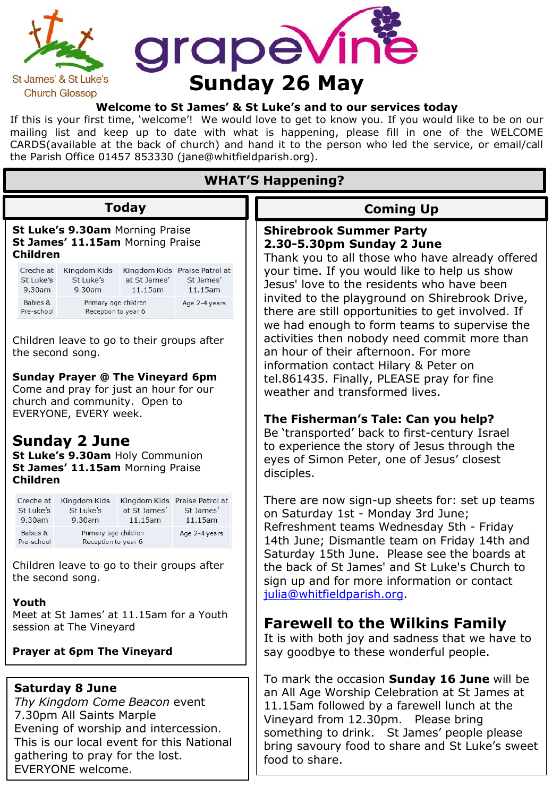

#### **Welcome to St James' & St Luke's and to our services today**

If this is your first time, 'welcome'! We would love to get to know you. If you would like to be on our mailing list and keep up to date with what is happening, please fill in one of the WELCOME CARDS(available at the back of church) and hand it to the person who led the service, or email/call the Parish Office 01457 853330 (jane@whitfieldparish.org).

| <b>WHAT'S Happening?</b>                                                                                                                                                                                                         |                                             |                         |                                                          |                                                                                                                                                                                                                                                                                                        |  |
|----------------------------------------------------------------------------------------------------------------------------------------------------------------------------------------------------------------------------------|---------------------------------------------|-------------------------|----------------------------------------------------------|--------------------------------------------------------------------------------------------------------------------------------------------------------------------------------------------------------------------------------------------------------------------------------------------------------|--|
| <b>Today</b><br>St Luke's 9.30am Morning Praise<br>St James' 11.15am Morning Praise<br><b>Children</b>                                                                                                                           |                                             |                         |                                                          | <b>Coming Up</b>                                                                                                                                                                                                                                                                                       |  |
|                                                                                                                                                                                                                                  |                                             |                         |                                                          | <b>Shirebrook Summer Party</b><br>2.30-5.30pm Sunday 2 June<br>Thank you to all those who have already offered                                                                                                                                                                                         |  |
| Creche at<br>St Luke's<br>9.30am                                                                                                                                                                                                 | Kingdom Kids<br>St Luke's<br>9.30am         | at St James'<br>11.15am | Kingdom Kids Praise Patrol at<br>St James'<br>11.15am    | your time. If you would like to help us show<br>Jesus' love to the residents who have been<br>invited to the playground on Shirebrook Drive,<br>there are still opportunities to get involved. If                                                                                                      |  |
| Babies &<br>Pre-school                                                                                                                                                                                                           | Primary age children<br>Reception to year 6 |                         | Age 2-4 years                                            |                                                                                                                                                                                                                                                                                                        |  |
| Children leave to go to their groups after<br>the second song.<br><b>Sunday Prayer @ The Vineyard 6pm</b><br>Come and pray for just an hour for our<br>church and community. Open to                                             |                                             |                         |                                                          | we had enough to form teams to supervise the<br>activities then nobody need commit more than<br>an hour of their afternoon. For more<br>information contact Hilary & Peter on<br>tel.861435. Finally, PLEASE pray for fine<br>weather and transformed lives.                                           |  |
| EVERYONE, EVERY week.<br><b>Sunday 2 June</b><br>St Luke's 9.30am Holy Communion<br>St James' 11.15am Morning Praise<br><b>Children</b>                                                                                          |                                             |                         |                                                          | The Fisherman's Tale: Can you help?<br>Be 'transported' back to first-century Israel<br>to experience the story of Jesus through the<br>eyes of Simon Peter, one of Jesus' closest<br>disciples.                                                                                                       |  |
| Creche at<br>St Luke's<br>9.30am                                                                                                                                                                                                 | Kingdom Kids<br>St Luke's<br>9.30am         | at St James'<br>11.15am | Kingdom Kids Praise Patrol at<br>St James'<br>$11.15$ am | There are now sign-up sheets for: set up teams<br>on Saturday 1st - Monday 3rd June;                                                                                                                                                                                                                   |  |
| Babies &<br>Pre-school                                                                                                                                                                                                           | Primary age children<br>Reception to year 6 |                         | Age 2-4 years                                            | Refreshment teams Wednesday 5th - Friday<br>14th June; Dismantle team on Friday 14th and                                                                                                                                                                                                               |  |
| Children leave to go to their groups after<br>the second song.<br>Youth                                                                                                                                                          |                                             |                         |                                                          | Saturday 15th June. Please see the boards at<br>the back of St James' and St Luke's Church to<br>sign up and for more information or contact<br>julia@whitfieldparish.org.                                                                                                                             |  |
| Meet at St James' at 11.15am for a Youth<br>session at The Vineyard<br><b>Prayer at 6pm The Vineyard</b>                                                                                                                         |                                             |                         |                                                          | <b>Farewell to the Wilkins Family</b><br>It is with both joy and sadness that we have to<br>say goodbye to these wonderful people.                                                                                                                                                                     |  |
|                                                                                                                                                                                                                                  |                                             |                         |                                                          |                                                                                                                                                                                                                                                                                                        |  |
| <b>Saturday 8 June</b><br>Thy Kingdom Come Beacon event<br>7.30pm All Saints Marple<br>Evening of worship and intercession.<br>This is our local event for this National<br>gathering to pray for the lost.<br>EVERYONE welcome. |                                             |                         |                                                          | To mark the occasion Sunday 16 June will be<br>an All Age Worship Celebration at St James at<br>11.15am followed by a farewell lunch at the<br>Vineyard from 12.30pm. Please bring<br>something to drink. St James' people please<br>bring savoury food to share and St Luke's sweet<br>food to share. |  |